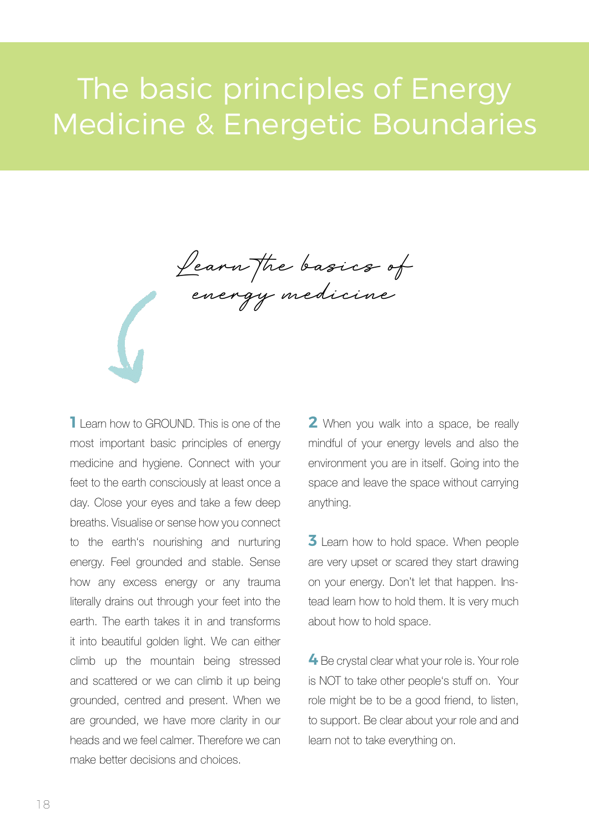## The basic principles of Energy Medicine & Energetic Boundaries

Learn the basics of energy medicine

**1** Learn how to GROUND. This is one of the most important basic principles of energy medicine and hygiene. Connect with your feet to the earth consciously at least once a day. Close your eyes and take a few deep breaths. Visualise or sense how you connect to the earth's nourishing and nurturing energy. Feel grounded and stable. Sense how any excess energy or any trauma literally drains out through your feet into the earth. The earth takes it in and transforms it into beautiful golden light. We can either climb up the mountain being stressed and scattered or we can climb it up being grounded, centred and present. When we are grounded, we have more clarity in our heads and we feel calmer. Therefore we can make better decisions and choices.

**2** When you walk into a space, be really mindful of your energy levels and also the environment you are in itself. Going into the space and leave the space without carrying anything.

**3** Learn how to hold space. When people are very upset or scared they start drawing on your energy. Don't let that happen. Instead learn how to hold them. It is very much about how to hold space.

**4** Be crystal clear what your role is. Your role is NOT to take other people's stuff on. Your role might be to be a good friend, to listen, to support. Be clear about your role and and learn not to take everything on.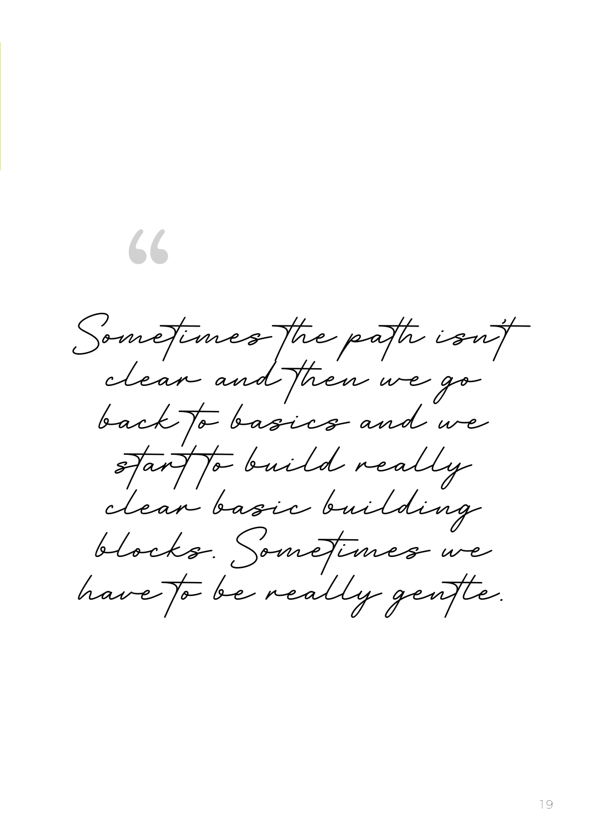Sometimes the path isn't clear…and then we go back to basics and we start to build really clear basic building blocks. Sometimes we have to be really gentle.

"